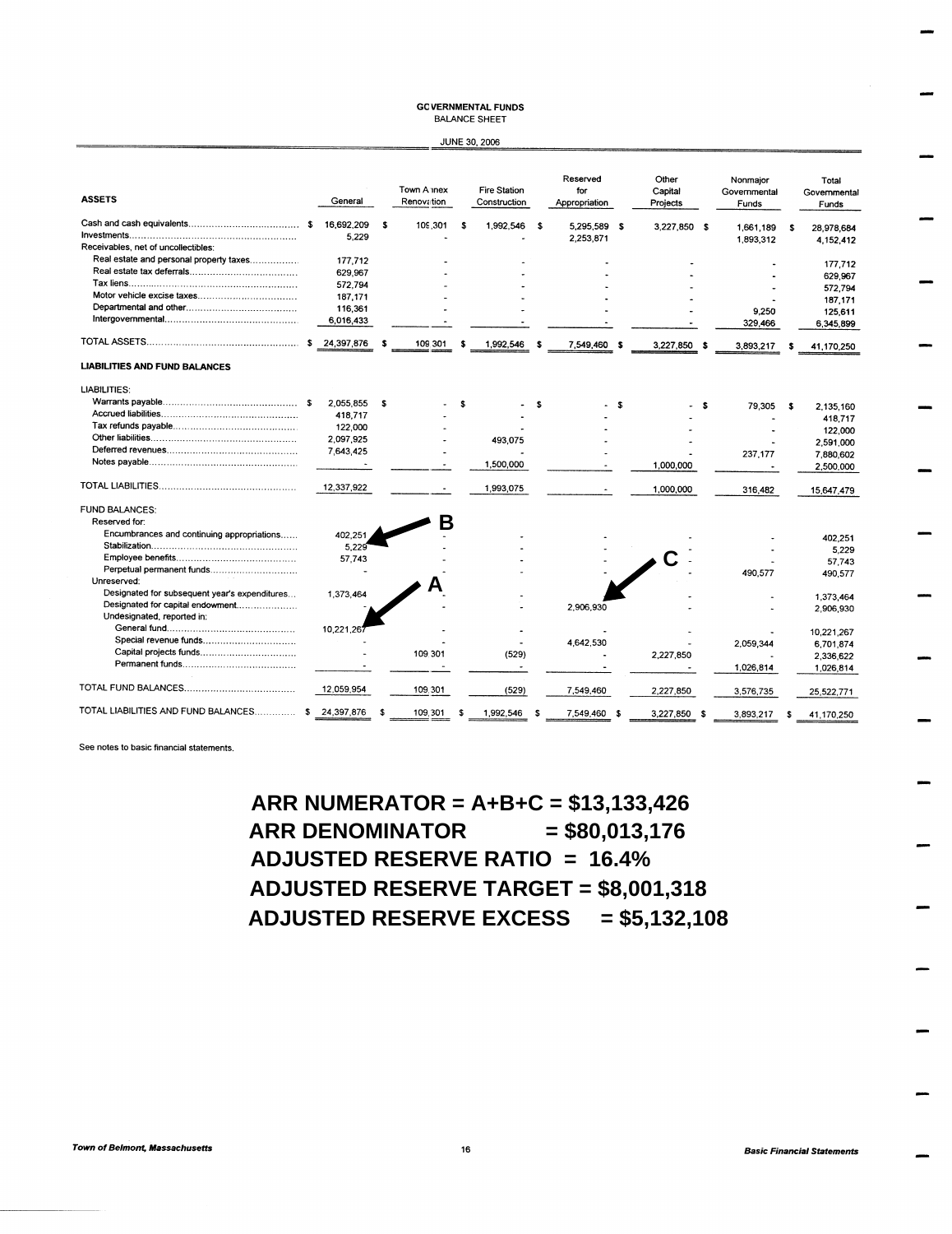## **GCVERNMENTAL FUNDS BALANCE SHEET**

| <b>JUNE 30, 2006</b> |  |
|----------------------|--|

| <b>ASSETS</b>                                 |      | General    |      | Town A mex<br>Renovation |    | <b>Fire Station</b><br>Construction |      | Reserved<br>for<br>Appropriation |     | Other<br>Capital<br>Projects | Nonmajor<br>Governmental<br>Funds |    | Total<br>Governmental<br>Funds |
|-----------------------------------------------|------|------------|------|--------------------------|----|-------------------------------------|------|----------------------------------|-----|------------------------------|-----------------------------------|----|--------------------------------|
|                                               | \$   | 16,692,209 | - \$ | 109,301                  | \$ | 1,992,546                           | - \$ | 5,295,589 \$                     |     | 3,227,850 \$                 | 1,661,189                         | \$ | 28,978,684                     |
|                                               |      | 5,229      |      |                          |    |                                     |      | 2,253,871                        |     |                              | 1,893,312                         |    | 4,152,412                      |
| Receivables, net of uncollectibles:           |      |            |      |                          |    |                                     |      |                                  |     |                              |                                   |    |                                |
| Real estate and personal property taxes       |      | 177.712    |      |                          |    |                                     |      |                                  |     |                              |                                   |    | 177,712                        |
|                                               |      | 629,967    |      |                          |    |                                     |      |                                  |     |                              |                                   |    | 629,967                        |
|                                               |      | 572.794    |      |                          |    |                                     |      |                                  |     |                              |                                   |    | 572,794                        |
|                                               |      | 187,171    |      |                          |    |                                     |      |                                  |     |                              |                                   |    |                                |
|                                               |      | 116,361    |      |                          |    |                                     |      |                                  |     |                              | 9.250                             |    | 187,171                        |
|                                               |      | 6,016,433  |      |                          |    |                                     |      |                                  |     |                              | 329,466                           |    | 125,611<br>6,345,899           |
|                                               | s.   | 24,397,876 | ŝ    | 109.301                  | s  | 1,992,546                           | s    | 7,549,460                        | - 5 | 3.227.850 \$                 | 3,893,217                         | s  | 41,170,250                     |
| <b>LIABILITIES AND FUND BALANCES</b>          |      |            |      |                          |    |                                     |      |                                  |     |                              |                                   |    |                                |
| <b>LIABILITIES:</b>                           |      |            |      |                          |    |                                     |      |                                  |     |                              |                                   |    |                                |
|                                               | - 16 | 2,055,855  | - \$ |                          | Ŝ  |                                     | \$   |                                  | £.  | - \$                         | 79,305                            | s  |                                |
|                                               |      | 418,717    |      |                          |    |                                     |      |                                  |     |                              |                                   |    | 2.135.160                      |
|                                               |      | 122,000    |      |                          |    |                                     |      |                                  |     |                              |                                   |    | 418,717                        |
|                                               |      | 2,097,925  |      |                          |    | 493,075                             |      |                                  |     |                              |                                   |    | 122,000                        |
|                                               |      | 7,643,425  |      |                          |    |                                     |      |                                  |     |                              |                                   |    | 2,591,000                      |
|                                               |      |            |      |                          |    | 1,500,000                           |      |                                  |     |                              | 237,177                           |    | 7,880,602                      |
|                                               |      |            |      |                          |    |                                     |      |                                  |     | 1,000,000                    |                                   |    | 2,500,000                      |
|                                               |      | 12,337,922 |      |                          |    | 1,993,075                           |      |                                  |     | 1,000,000                    | 316,482                           |    | 15,647,479                     |
| <b>FUND BALANCES:</b>                         |      |            |      |                          |    |                                     |      |                                  |     |                              |                                   |    |                                |
| Reserved for:                                 |      |            |      | В                        |    |                                     |      |                                  |     |                              |                                   |    |                                |
| Encumbrances and continuing appropriations    |      | 402,251    |      |                          |    |                                     |      |                                  |     |                              |                                   |    | 402,251                        |
|                                               |      | 5,229      |      |                          |    |                                     |      |                                  |     |                              |                                   |    | 5,229                          |
|                                               |      | 57,743     |      |                          |    |                                     |      |                                  |     |                              |                                   |    | 57,743                         |
| Perpetual permanent funds                     |      |            |      |                          |    |                                     |      |                                  |     |                              | 490,577                           |    | 490.577                        |
| Unreserved:                                   |      |            |      |                          |    |                                     |      |                                  |     |                              |                                   |    |                                |
| Designated for subsequent year's expenditures |      | 1,373,464  |      |                          |    |                                     |      |                                  |     |                              |                                   |    | 1,373,464                      |
| Designated for capital endowment              |      |            |      |                          |    |                                     |      | 2,906,930                        |     |                              |                                   |    | 2,906,930                      |
| Undesignated, reported in:                    |      |            |      |                          |    |                                     |      |                                  |     |                              |                                   |    |                                |
|                                               |      | 10,221,26  |      |                          |    |                                     |      |                                  |     |                              |                                   |    | 10,221,267                     |
| Special revenue funds                         |      |            |      |                          |    |                                     |      | 4,642,530                        |     |                              | 2,059,344                         |    | 6,701,874                      |
|                                               |      |            |      | 109.301                  |    | (529)                               |      |                                  |     | 2,227,850                    |                                   |    | 2,336,622                      |
|                                               |      |            |      |                          |    | ٠                                   |      |                                  |     |                              | 1,026,814                         |    | 1,026,814                      |
|                                               |      | 12.059.954 |      | 109.301                  |    | (529)                               |      | 7,549,460                        |     | 2,227,850                    | 3,576,735                         |    | 25,522,771                     |
| TOTAL LIABILITIES AND FUND BALANCES           |      | 24,397,876 | -\$  | 109.301                  |    | 1,992,546                           | - 3  | 7,549,460 \$                     |     | 3.227.850 \$                 | 3.893.217                         | S  | 41 170 250                     |

See notes to basic financial statements.

ARR NUMERATOR =  $A+B+C = $13,133,426$ **ARR DENOMINATOR**  $= $80,013,176$ **ADJUSTED RESERVE RATIO = 16.4% ADJUSTED RESERVE TARGET = \$8,001,318** ADJUSTED RESERVE EXCESS = \$5,132,108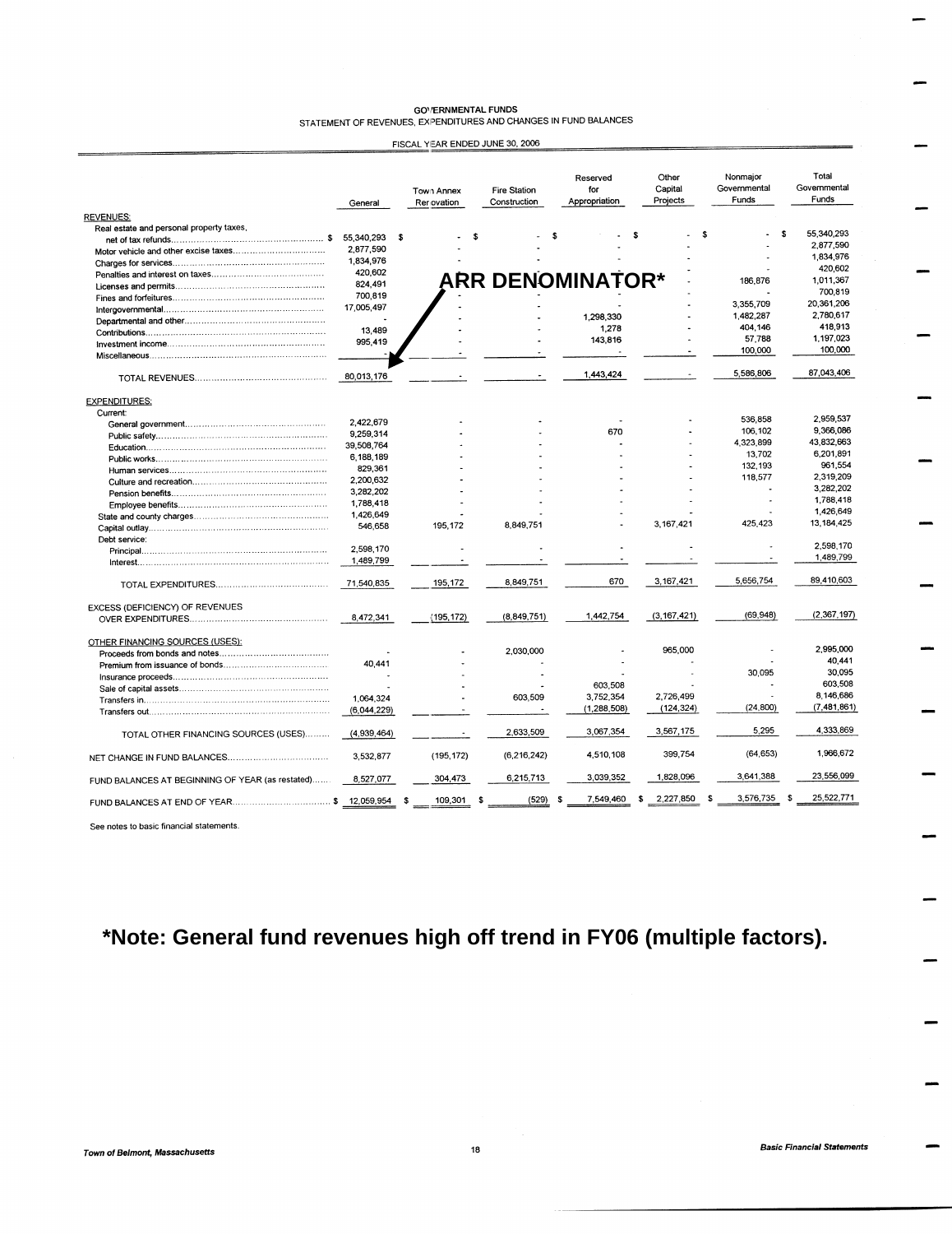| <b>GOVERNMENTAL FUNDS</b>                                        |  |  |  |  |  |  |
|------------------------------------------------------------------|--|--|--|--|--|--|
| STATEMENT OF REVENUES, EXPENDITURES AND CHANGES IN FUND BALANCES |  |  |  |  |  |  |

| FISCAL YEAR ENDED JUNE 30, 2006 |  |
|---------------------------------|--|
|---------------------------------|--|

| <b>REVENUES:</b>                                 | General     | Town Annex<br>Rer ovation | <b>Fire Station</b><br>Construction | Reserved<br>for<br>Appropriation | Other<br>Capital<br>Projects | Nonmajor<br>Governmental<br>Funds | Total<br>Governmental<br>Funds |
|--------------------------------------------------|-------------|---------------------------|-------------------------------------|----------------------------------|------------------------------|-----------------------------------|--------------------------------|
| Real estate and personal property taxes,         |             |                           |                                     |                                  |                              |                                   |                                |
|                                                  | 55,340,293  | <b>s</b>                  |                                     | s                                | \$                           | S.                                | 55,340,293<br>s.               |
|                                                  | 2,877,590   |                           |                                     |                                  |                              |                                   | 2,877,590                      |
|                                                  | 1,834,976   |                           |                                     |                                  |                              |                                   | 1,834,976                      |
|                                                  | 420.602     |                           |                                     |                                  |                              |                                   | 420.602                        |
|                                                  | 824,491     |                           | <b>ARR DENOMINATOR*</b>             |                                  |                              | 186,876                           | 1,011,367                      |
|                                                  | 700,819     |                           |                                     |                                  |                              |                                   | 700,819                        |
|                                                  | 17,005,497  |                           |                                     |                                  |                              | 3,355,709                         | 20,361,206                     |
|                                                  |             |                           |                                     | 1,298,330                        |                              | 1.482.287                         | 2,780,617                      |
|                                                  | 13,489      |                           |                                     | 1.278                            |                              | 404,146                           | 418,913                        |
|                                                  | 995,419     |                           |                                     | 143,816                          |                              | 57,788                            | 1,197,023                      |
|                                                  |             |                           |                                     |                                  |                              | 100,000                           | 100,000                        |
|                                                  |             |                           |                                     |                                  |                              |                                   |                                |
|                                                  | 80,013,176  |                           |                                     | 1,443,424                        |                              | 5,586,806                         | 87,043,406                     |
| <b>EXPENDITURES:</b>                             |             |                           |                                     |                                  |                              |                                   |                                |
| Current:                                         |             |                           |                                     |                                  |                              | 536,858                           | 2,959,537                      |
|                                                  | 2,422,679   |                           |                                     | 670                              |                              | 106,102                           | 9,366,086                      |
|                                                  | 9.259,314   |                           |                                     |                                  |                              | 4,323,899                         | 43,832,663                     |
|                                                  | 39,508,764  |                           |                                     |                                  |                              | 13,702                            | 6,201,891                      |
|                                                  | 6,188,189   |                           |                                     |                                  |                              | 132,193                           | 961,554                        |
|                                                  | 829,361     |                           |                                     |                                  |                              | 118,577                           | 2,319,209                      |
|                                                  | 2,200,632   |                           |                                     |                                  |                              |                                   | 3,282,202                      |
|                                                  | 3,282,202   |                           |                                     |                                  |                              |                                   | 1,788,418                      |
|                                                  | 1,788,418   |                           |                                     |                                  |                              |                                   | 1,426,649                      |
|                                                  | 1,426,649   |                           |                                     |                                  |                              |                                   | 13, 184, 425                   |
|                                                  | 546,658     | 195,172                   | 8,849,751                           |                                  | 3,167,421                    | 425,423                           |                                |
| Debt service:                                    |             |                           |                                     |                                  |                              |                                   | 2,598,170                      |
|                                                  | 2.598.170   |                           |                                     |                                  |                              |                                   | 1,489,799                      |
|                                                  | 1,489,799   |                           |                                     |                                  |                              |                                   |                                |
|                                                  | 71,540,835  | 195,172                   | 8,849,751                           | 670                              | 3,167,421                    | 5,656,754                         | 89,410,603                     |
| EXCESS (DEFICIENCY) OF REVENUES                  |             |                           |                                     |                                  |                              |                                   |                                |
|                                                  | 8.472.341   | (195, 172)                | (8.849.751)                         | 1,442,754                        | (3, 167, 421)                | (69, 948)                         | (2,367,197)                    |
| OTHER FINANCING SOURCES (USES):                  |             |                           |                                     |                                  |                              |                                   |                                |
|                                                  |             |                           | 2,030,000                           |                                  | 965,000                      |                                   | 2,995,000                      |
|                                                  | 40,441      |                           |                                     |                                  |                              |                                   | 40,441                         |
|                                                  |             |                           |                                     |                                  |                              | 30,095                            | 30,095                         |
|                                                  |             |                           |                                     | 603,508                          |                              |                                   | 603,508                        |
|                                                  | 1,064,324   |                           | 603,509                             | 3,752,354                        | 2,726,499                    |                                   | 8,146,686                      |
|                                                  | (6,044,229) |                           |                                     | (1, 288, 508)                    | (124, 324)                   | (24, 800)                         | (7,481,861)                    |
|                                                  |             |                           | 2,633,509                           | 3,067,354                        | 3,567,175                    | 5,295                             | 4.333,869                      |
| TOTAL OTHER FINANCING SOURCES (USES)             | (4,939,464) |                           |                                     |                                  |                              |                                   |                                |
|                                                  | 3,532,877   | (195, 172)                | (6, 216, 242)                       | 4,510,108                        | 399,754                      | (64, 653)                         | 1,966,672                      |
| FUND BALANCES AT BEGINNING OF YEAR (as restated) | 8,527,077   | 304,473                   | 6,215,713                           | 3,039,352                        | 1,828,096                    | 3,641,388                         | 23,556,099                     |
| FUND BALANCES AT END OF YEAR\$ 12,059,954        |             | 109,301<br>ŝ.             | (529)<br>\$                         | 7,549,460<br>\$                  | 2,227,850<br>\$              | \$<br>3,576,735                   | 25,522,771<br>\$               |

See notes to basic financial statements.

## \*Note: General fund revenues high off trend in FY06 (multiple factors).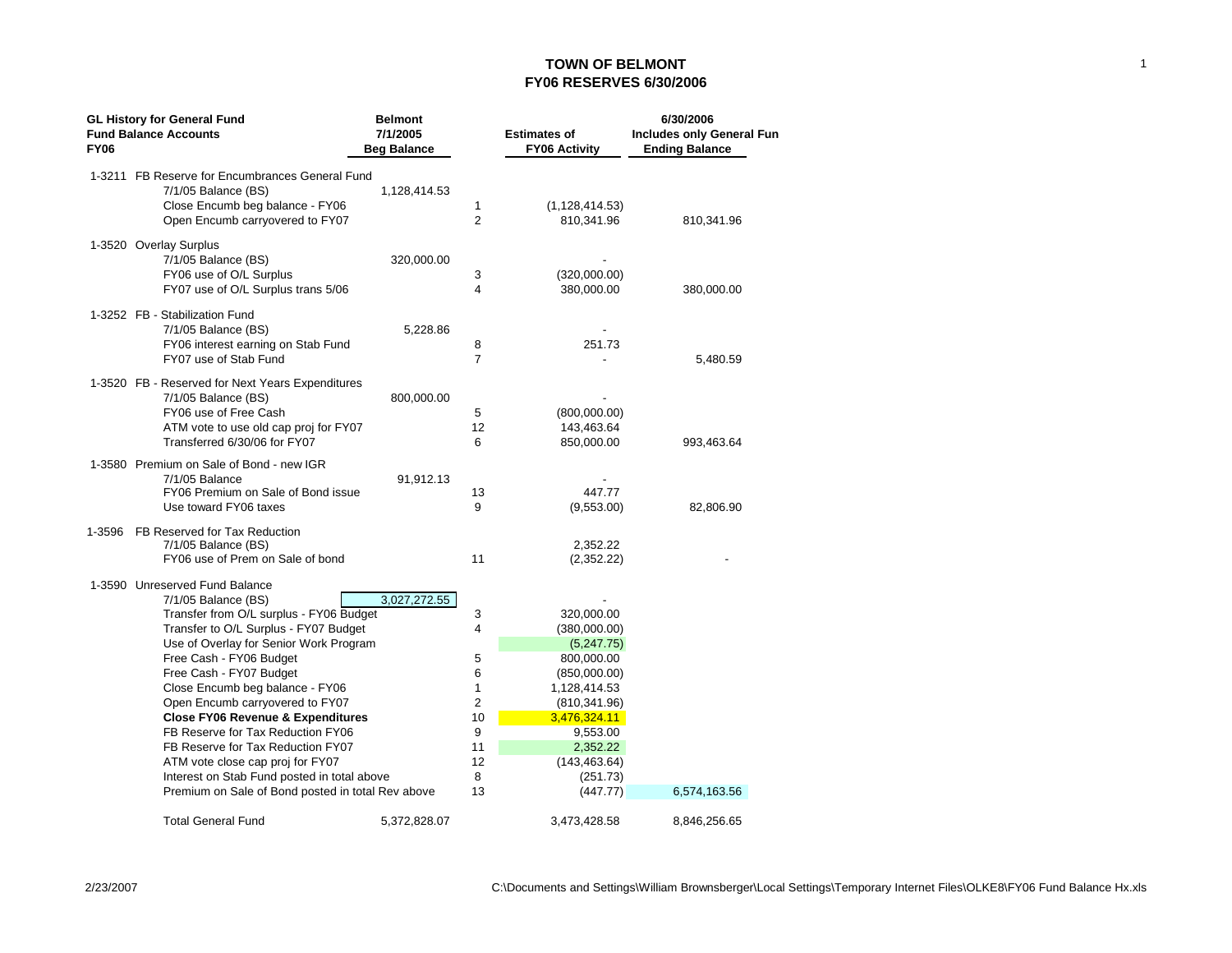## **TOWN OF BELMONT FY06 RESERVES 6/30/2006**

|             | <b>GL History for General Fund</b>                                      | <b>Belmont</b>     |                |                      | 6/30/2006                 |
|-------------|-------------------------------------------------------------------------|--------------------|----------------|----------------------|---------------------------|
|             | <b>Fund Balance Accounts</b>                                            | 7/1/2005           |                | <b>Estimates of</b>  | Includes only General Fun |
| <b>FY06</b> |                                                                         | <b>Beg Balance</b> |                | <b>FY06 Activity</b> | <b>Ending Balance</b>     |
|             | 1-3211 FB Reserve for Encumbrances General Fund                         |                    |                |                      |                           |
|             | $7/1/05$ Balance (BS)                                                   | 1,128,414.53       |                |                      |                           |
|             | Close Encumb beg balance - FY06                                         |                    | 1              | (1, 128, 414.53)     |                           |
|             | Open Encumb carryovered to FY07                                         |                    | $\overline{2}$ | 810,341.96           | 810,341.96                |
|             |                                                                         |                    |                |                      |                           |
|             | 1-3520 Overlay Surplus                                                  |                    |                |                      |                           |
|             | $7/1/05$ Balance (BS)                                                   | 320,000.00         |                |                      |                           |
|             | FY06 use of O/L Surplus                                                 |                    | 3              | (320,000.00)         |                           |
|             | FY07 use of O/L Surplus trans 5/06                                      |                    | 4              | 380,000.00           | 380,000.00                |
|             | 1-3252 FB - Stabilization Fund                                          |                    |                |                      |                           |
|             | 7/1/05 Balance (BS)                                                     | 5,228.86           |                |                      |                           |
|             | FY06 interest earning on Stab Fund                                      |                    | 8              | 251.73               |                           |
|             | FY07 use of Stab Fund                                                   |                    | 7              |                      | 5,480.59                  |
|             |                                                                         |                    |                |                      |                           |
|             | 1-3520 FB - Reserved for Next Years Expenditures<br>7/1/05 Balance (BS) | 800,000.00         |                |                      |                           |
|             | FY06 use of Free Cash                                                   |                    | 5              | (800,000.00)         |                           |
|             | ATM vote to use old cap proj for FY07                                   |                    | 12             | 143,463.64           |                           |
|             | Transferred 6/30/06 for FY07                                            |                    | 6              | 850,000.00           | 993,463.64                |
|             |                                                                         |                    |                |                      |                           |
|             | 1-3580 Premium on Sale of Bond - new IGR                                |                    |                |                      |                           |
|             | 7/1/05 Balance<br>FY06 Premium on Sale of Bond issue                    | 91,912.13          |                |                      |                           |
|             | Use toward FY06 taxes                                                   |                    | 13<br>9        | 447.77<br>(9,553.00) | 82,806.90                 |
|             |                                                                         |                    |                |                      |                           |
| 1-3596      | FB Reserved for Tax Reduction                                           |                    |                |                      |                           |
|             | 7/1/05 Balance (BS)                                                     |                    |                | 2,352.22             |                           |
|             | FY06 use of Prem on Sale of bond                                        |                    | 11             | (2,352.22)           |                           |
|             | 1-3590 Unreserved Fund Balance                                          |                    |                |                      |                           |
|             | $7/1/05$ Balance (BS)                                                   | 3,027,272.55       |                |                      |                           |
|             | Transfer from O/L surplus - FY06 Budget                                 |                    | 3              | 320,000.00           |                           |
|             | Transfer to O/L Surplus - FY07 Budget                                   |                    | 4              | (380,000.00)         |                           |
|             | Use of Overlay for Senior Work Program                                  |                    |                | (5,247.75)           |                           |
|             | Free Cash - FY06 Budget                                                 |                    | 5              | 800,000.00           |                           |
|             | Free Cash - FY07 Budget                                                 |                    | 6              | (850,000.00)         |                           |
|             | Close Encumb beg balance - FY06                                         |                    | $\mathbf{1}$   | 1,128,414.53         |                           |
|             | Open Encumb carryovered to FY07                                         |                    | $\overline{2}$ | (810, 341.96)        |                           |
|             | <b>Close FY06 Revenue &amp; Expenditures</b>                            |                    | 10             | 3,476,324.11         |                           |
|             | FB Reserve for Tax Reduction FY06                                       |                    | 9              | 9,553.00             |                           |
|             | FB Reserve for Tax Reduction FY07                                       |                    | 11             | 2,352.22             |                           |
|             | ATM vote close cap proj for FY07                                        |                    | 12             | (143, 463.64)        |                           |
|             | Interest on Stab Fund posted in total above                             |                    | 8              | (251.73)             |                           |
|             | Premium on Sale of Bond posted in total Rev above                       |                    | 13             | (447.77)             | 6,574,163.56              |
|             | <b>Total General Fund</b>                                               | 5,372,828.07       |                | 3.473.428.58         | 8,846,256.65              |